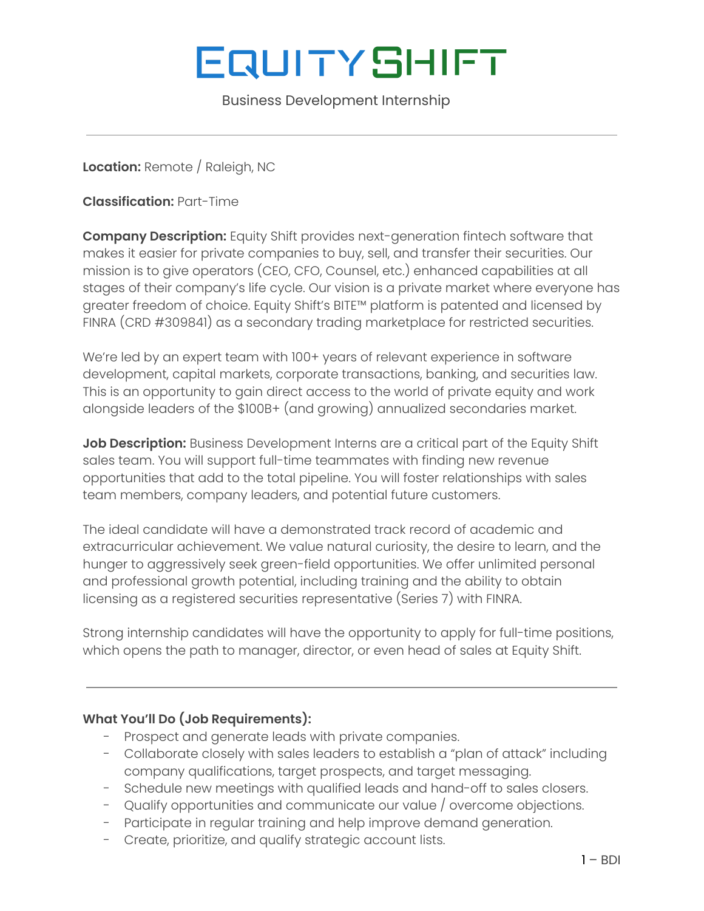# **EQUITYSHIFT**

Business Development Internship

**Location:** Remote / Raleigh, NC

**Classification:** Part-Time

**Company Description:** Equity Shift provides next-generation fintech software that makes it easier for private companies to buy, sell, and transfer their securities. Our mission is to give operators (CEO, CFO, Counsel, etc.) enhanced capabilities at all stages of their company's life cycle. Our vision is a private market where everyone has greater freedom of choice. Equity Shift's BITE™ platform is patented and licensed by FINRA (CRD #309841) as a secondary trading marketplace for restricted securities.

We're led by an expert team with 100+ years of relevant experience in software development, capital markets, corporate transactions, banking, and securities law. This is an opportunity to gain direct access to the world of private equity and work alongside leaders of the \$100B+ (and growing) annualized secondaries market.

**Job Description:** Business Development Interns are a critical part of the Equity Shift sales team. You will support full-time teammates with finding new revenue opportunities that add to the total pipeline. You will foster relationships with sales team members, company leaders, and potential future customers.

The ideal candidate will have a demonstrated track record of academic and extracurricular achievement. We value natural curiosity, the desire to learn, and the hunger to aggressively seek green-field opportunities. We offer unlimited personal and professional growth potential, including training and the ability to obtain licensing as a registered securities representative (Series 7) with FINRA.

Strong internship candidates will have the opportunity to apply for full-time positions, which opens the path to manager, director, or even head of sales at Equity Shift.

#### **What You'll Do (Job Requirements):**

- Prospect and generate leads with private companies.
- Collaborate closely with sales leaders to establish a "plan of attack" including company qualifications, target prospects, and target messaging.
- Schedule new meetings with qualified leads and hand-off to sales closers.
- Qualify opportunities and communicate our value / overcome objections.
- Participate in regular training and help improve demand generation.
- Create, prioritize, and qualify strategic account lists.